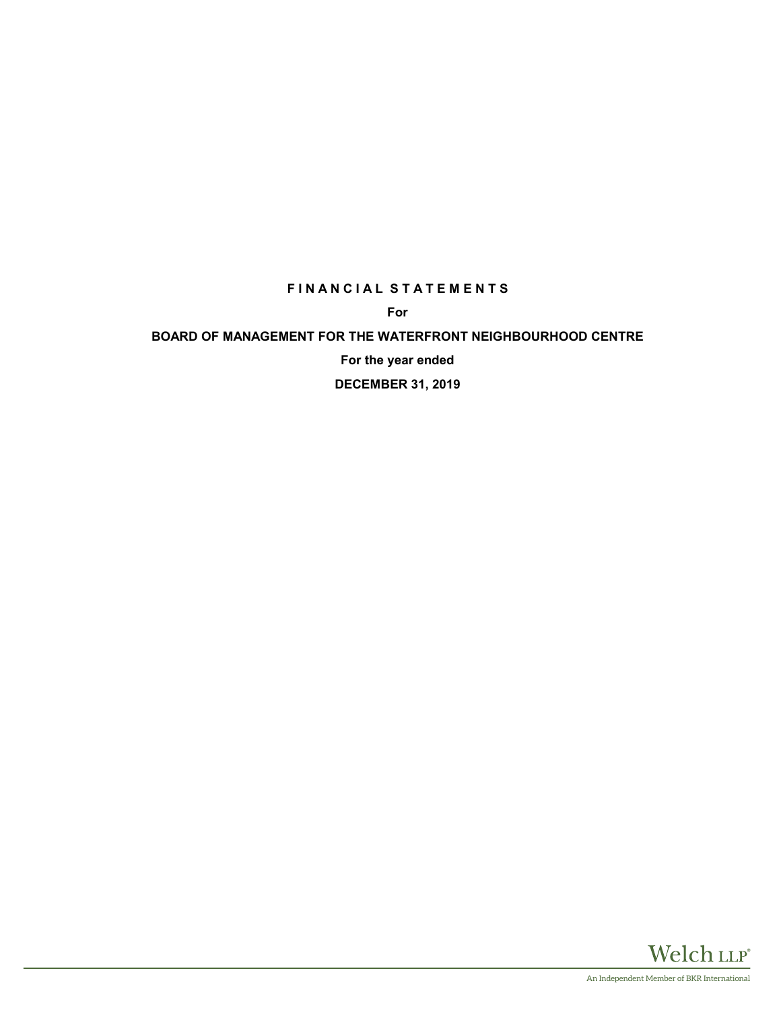### **FINANCIAL STATEMENTS**

**For**

### **BOARD OF MANAGEMENT FOR THE WATERFRONT NEIGHBOURHOOD CENTRE**

**For the year ended**

**DECEMBER 31, 2019**

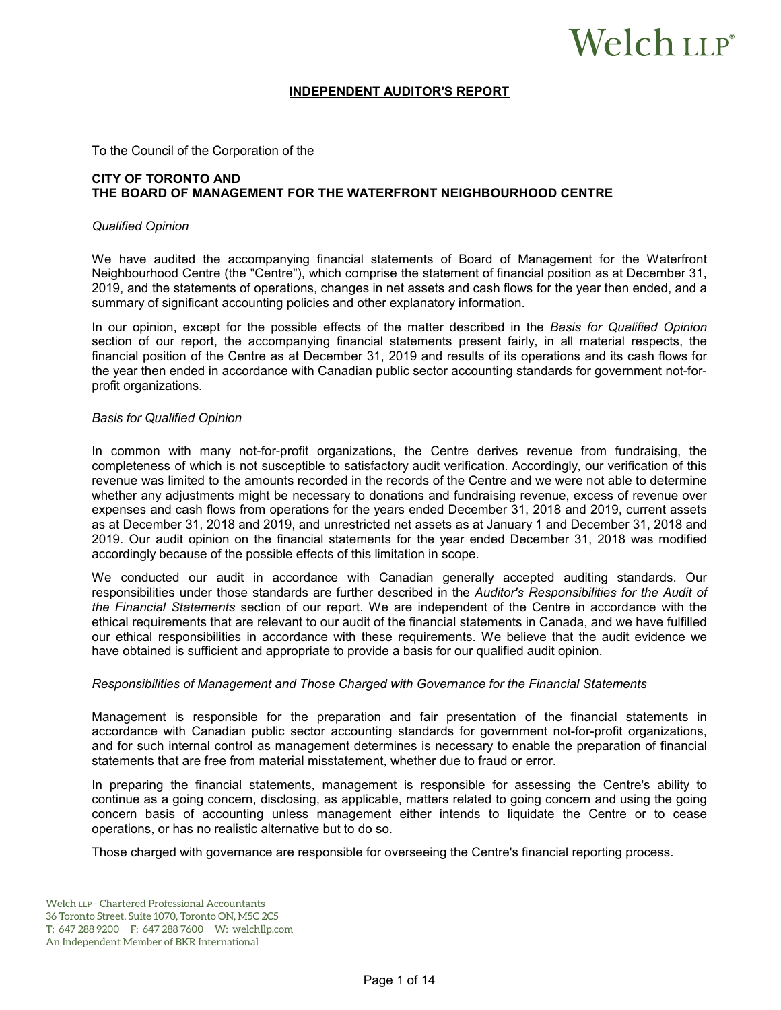# Welch LLP®

#### **INDEPENDENT AUDITOR'S REPORT**

To the Council of the Corporation of the

#### **CITY OF TORONTO AND THE BOARD OF MANAGEMENT FOR THE WATERFRONT NEIGHBOURHOOD CENTRE**

#### *Qualified Opinion*

We have audited the accompanying financial statements of Board of Management for the Waterfront Neighbourhood Centre (the "Centre"), which comprise the statement of financial position as at December 31, 2019, and the statements of operations, changes in net assets and cash flows for the year then ended, and a summary of significant accounting policies and other explanatory information.

In our opinion, except for the possible effects of the matter described in the *Basis for Qualified Opinion* section of our report, the accompanying financial statements present fairly, in all material respects, the financial position of the Centre as at December 31, 2019 and results of its operations and its cash flows for the year then ended in accordance with Canadian public sector accounting standards for government not-forprofit organizations.

#### *Basis for Qualified Opinion*

In common with many not-for-profit organizations, the Centre derives revenue from fundraising, the completeness of which is not susceptible to satisfactory audit verification. Accordingly, our verification of this revenue was limited to the amounts recorded in the records of the Centre and we were not able to determine whether any adjustments might be necessary to donations and fundraising revenue, excess of revenue over expenses and cash flows from operations for the years ended December 31, 2018 and 2019, current assets as at December 31, 2018 and 2019, and unrestricted net assets as at January 1 and December 31, 2018 and 2019. Our audit opinion on the financial statements for the year ended December 31, 2018 was modified accordingly because of the possible effects of this limitation in scope.

We conducted our audit in accordance with Canadian generally accepted auditing standards. Our responsibilities under those standards are further described in the *Auditor's Responsibilities for the Audit of the Financial Statements* section of our report. We are independent of the Centre in accordance with the ethical requirements that are relevant to our audit of the financial statements in Canada, and we have fulfilled our ethical responsibilities in accordance with these requirements. We believe that the audit evidence we have obtained is sufficient and appropriate to provide a basis for our qualified audit opinion.

#### *Responsibilities of Management and Those Charged with Governance for the Financial Statements*

Management is responsible for the preparation and fair presentation of the financial statements in accordance with Canadian public sector accounting standards for government not-for-profit organizations, and for such internal control as management determines is necessary to enable the preparation of financial statements that are free from material misstatement, whether due to fraud or error.

In preparing the financial statements, management is responsible for assessing the Centre's ability to continue as a going concern, disclosing, as applicable, matters related to going concern and using the going concern basis of accounting unless management either intends to liquidate the Centre or to cease operations, or has no realistic alternative but to do so.

Those charged with governance are responsible for overseeing the Centre's financial reporting process.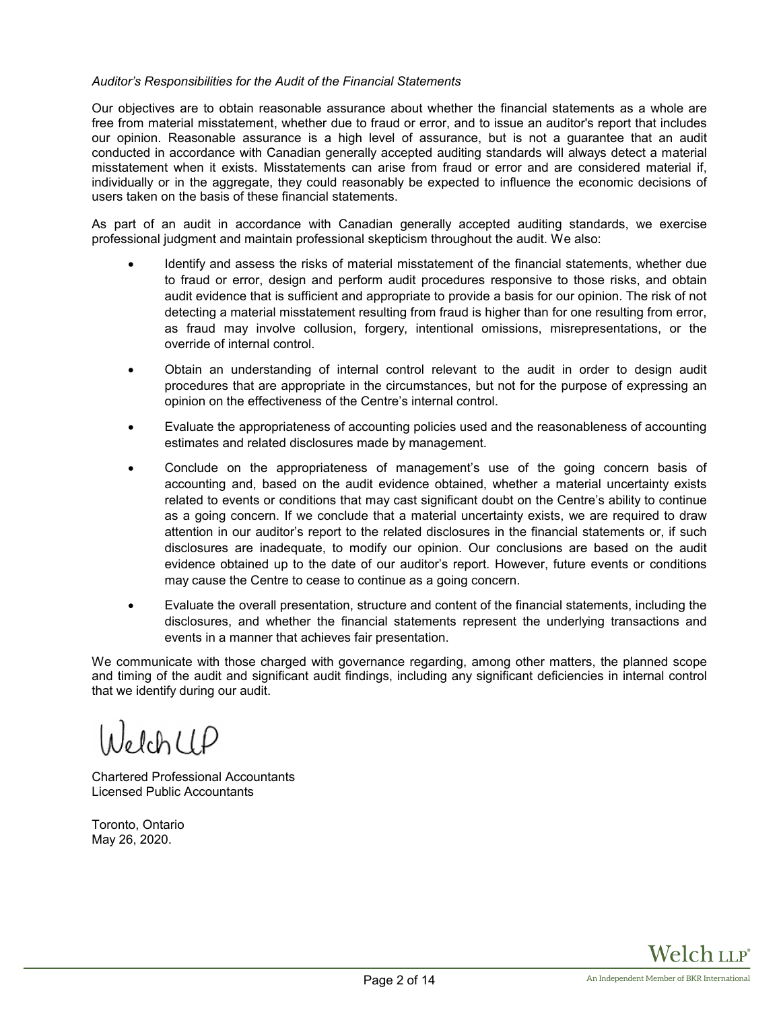#### *Auditor's Responsibilities for the Audit of the Financial Statements*

Our objectives are to obtain reasonable assurance about whether the financial statements as a whole are free from material misstatement, whether due to fraud or error, and to issue an auditor's report that includes our opinion. Reasonable assurance is a high level of assurance, but is not a guarantee that an audit conducted in accordance with Canadian generally accepted auditing standards will always detect a material misstatement when it exists. Misstatements can arise from fraud or error and are considered material if, individually or in the aggregate, they could reasonably be expected to influence the economic decisions of users taken on the basis of these financial statements.

As part of an audit in accordance with Canadian generally accepted auditing standards, we exercise professional judgment and maintain professional skepticism throughout the audit. We also:

- Identify and assess the risks of material misstatement of the financial statements, whether due to fraud or error, design and perform audit procedures responsive to those risks, and obtain audit evidence that is sufficient and appropriate to provide a basis for our opinion. The risk of not detecting a material misstatement resulting from fraud is higher than for one resulting from error, as fraud may involve collusion, forgery, intentional omissions, misrepresentations, or the override of internal control.
- Obtain an understanding of internal control relevant to the audit in order to design audit procedures that are appropriate in the circumstances, but not for the purpose of expressing an opinion on the effectiveness of the Centre's internal control.
- Evaluate the appropriateness of accounting policies used and the reasonableness of accounting estimates and related disclosures made by management.
- Conclude on the appropriateness of management's use of the going concern basis of accounting and, based on the audit evidence obtained, whether a material uncertainty exists related to events or conditions that may cast significant doubt on the Centre's ability to continue as a going concern. If we conclude that a material uncertainty exists, we are required to draw attention in our auditor's report to the related disclosures in the financial statements or, if such disclosures are inadequate, to modify our opinion. Our conclusions are based on the audit evidence obtained up to the date of our auditor's report. However, future events or conditions may cause the Centre to cease to continue as a going concern.
- Evaluate the overall presentation, structure and content of the financial statements, including the disclosures, and whether the financial statements represent the underlying transactions and events in a manner that achieves fair presentation.

We communicate with those charged with governance regarding, among other matters, the planned scope and timing of the audit and significant audit findings, including any significant deficiencies in internal control that we identify during our audit.

JelchUP

Chartered Professional Accountants Licensed Public Accountants

Toronto, Ontario May 26, 2020.

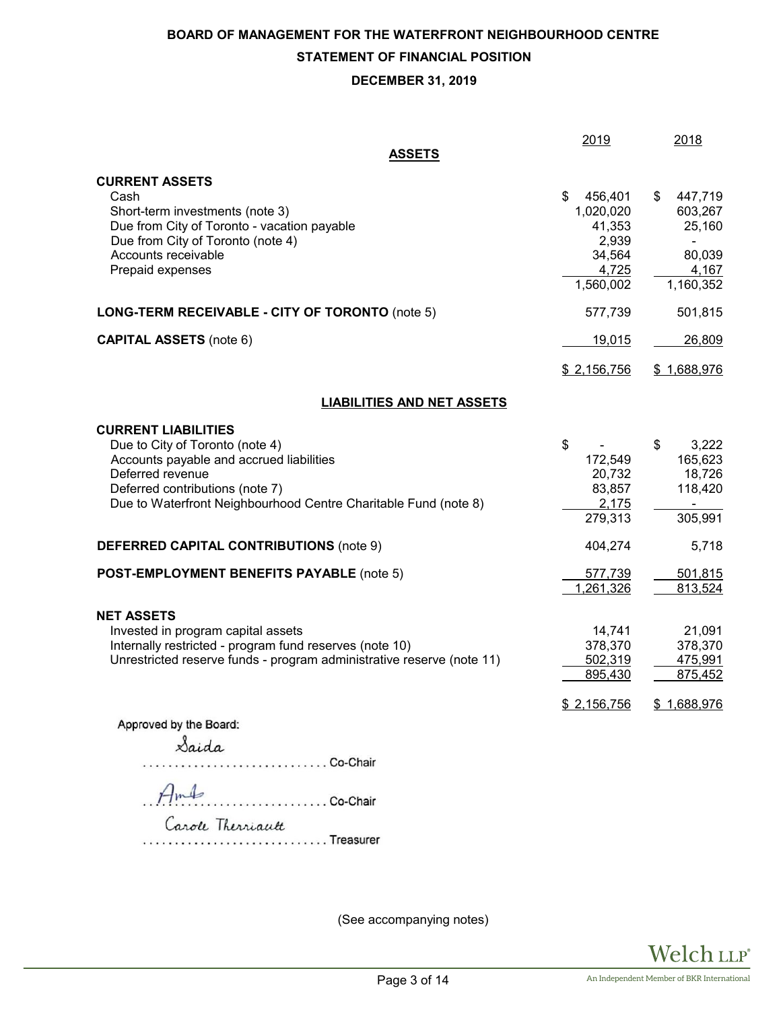# **BOARD OF MANAGEMENT FOR THE WATERFRONT NEIGHBOURHOOD CENTRE STATEMENT OF FINANCIAL POSITION**

# **DECEMBER 31, 2019**

|                                                                                                                                                                                                                                                                                       | 2019                                                                         | 2018                                                                                           |
|---------------------------------------------------------------------------------------------------------------------------------------------------------------------------------------------------------------------------------------------------------------------------------------|------------------------------------------------------------------------------|------------------------------------------------------------------------------------------------|
| <b>ASSETS</b>                                                                                                                                                                                                                                                                         |                                                                              |                                                                                                |
| <b>CURRENT ASSETS</b><br>Cash<br>Short-term investments (note 3)<br>Due from City of Toronto - vacation payable<br>Due from City of Toronto (note 4)<br>Accounts receivable<br>Prepaid expenses                                                                                       | 456,401<br>S<br>1,020,020<br>41,353<br>2,939<br>34,564<br>4,725<br>1,560,002 | 447,719<br>\$<br>603,267<br>25,160<br>$\overline{\phantom{0}}$<br>80,039<br>4,167<br>1,160,352 |
| LONG-TERM RECEIVABLE - CITY OF TORONTO (note 5)                                                                                                                                                                                                                                       | 577,739                                                                      | 501,815                                                                                        |
| <b>CAPITAL ASSETS (note 6)</b>                                                                                                                                                                                                                                                        | 19,015                                                                       | 26,809                                                                                         |
|                                                                                                                                                                                                                                                                                       | \$2,156,756                                                                  | \$1,688,976                                                                                    |
| <b>LIABILITIES AND NET ASSETS</b>                                                                                                                                                                                                                                                     |                                                                              |                                                                                                |
| <b>CURRENT LIABILITIES</b><br>Due to City of Toronto (note 4)<br>Accounts payable and accrued liabilities<br>Deferred revenue<br>Deferred contributions (note 7)<br>Due to Waterfront Neighbourhood Centre Charitable Fund (note 8)<br><b>DEFERRED CAPITAL CONTRIBUTIONS (note 9)</b> | \$<br>172,549<br>20,732<br>83,857<br>2,175<br>279,313<br>404,274             | \$<br>3,222<br>165,623<br>18,726<br>118,420<br>$\overline{\phantom{a}}$<br>305,991<br>5,718    |
| <b>POST-EMPLOYMENT BENEFITS PAYABLE (note 5)</b>                                                                                                                                                                                                                                      | 577,739<br>1,261,326                                                         | 501,815<br>813,524                                                                             |
| <b>NET ASSETS</b><br>Invested in program capital assets<br>Internally restricted - program fund reserves (note 10)<br>Unrestricted reserve funds - program administrative reserve (note 11)                                                                                           | 14,741<br>378,370<br>502,319<br>895,430                                      | 21,091<br>378,370<br>475,991<br>875,452                                                        |
| Approved by the Board:<br>Saida<br>Co-Chair<br>Amb<br>Carole Therriautt<br>Treasurer                                                                                                                                                                                                  | \$2,156,756                                                                  | \$1,688,976                                                                                    |

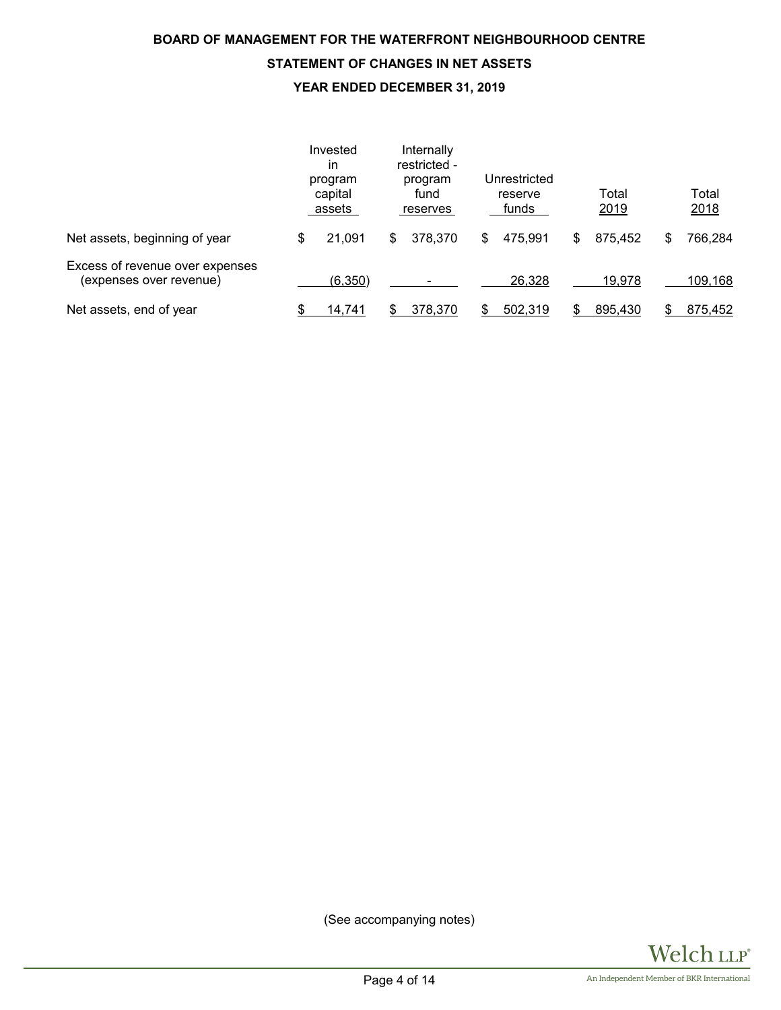# **BOARD OF MANAGEMENT FOR THE WATERFRONT NEIGHBOURHOOD CENTRE STATEMENT OF CHANGES IN NET ASSETS YEAR ENDED DECEMBER 31, 2019**

|                                                            | Invested<br>in<br>program<br>capital<br>assets | Internally<br>restricted -<br>program<br>fund<br>reserves | Unrestricted<br>reserve<br>funds | Total<br>2019 | Total<br>2018 |
|------------------------------------------------------------|------------------------------------------------|-----------------------------------------------------------|----------------------------------|---------------|---------------|
| Net assets, beginning of year                              | 21,091<br>\$                                   | 378,370<br>\$                                             | 475,991<br>\$                    | 875,452<br>\$ | 766,284<br>S  |
| Excess of revenue over expenses<br>(expenses over revenue) | (6,350)                                        |                                                           | 26,328                           | 19,978        | 109,168       |
| Net assets, end of year                                    | 14,741                                         | 378,370                                                   | 502,319                          | 895,430       | 875,452       |

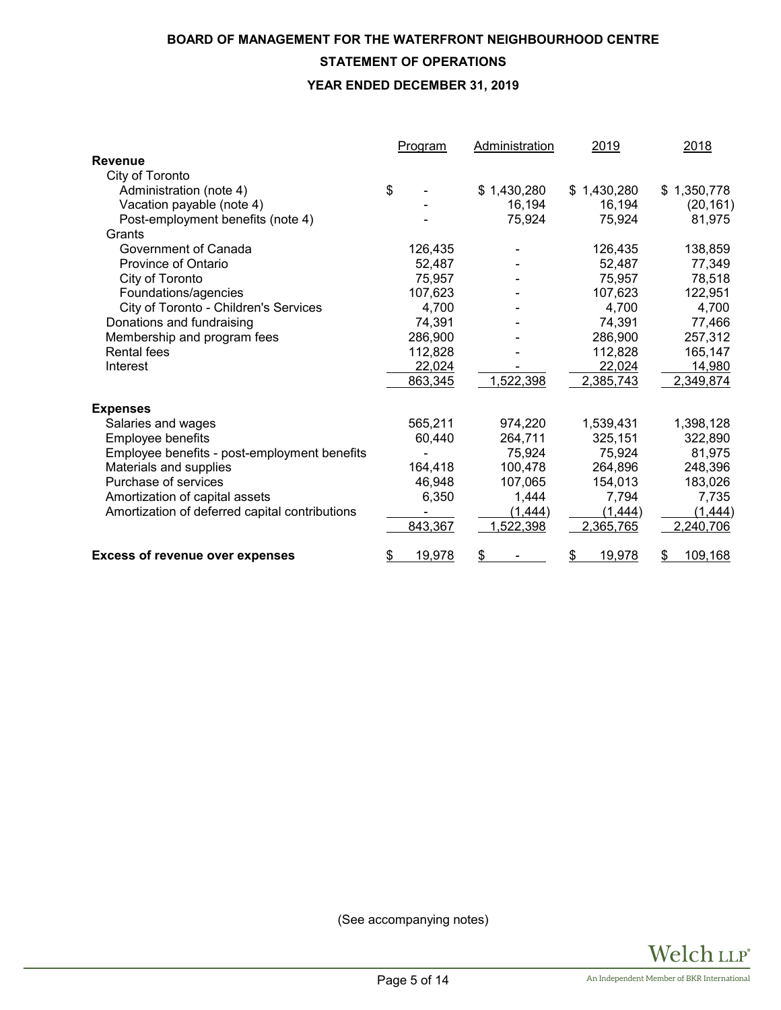# **BOARD OF MANAGEMENT FOR THE WATERFRONT NEIGHBOURHOOD CENTRE**

# **STATEMENT OF OPERATIONS**

### **YEAR ENDED DECEMBER 31, 2019**

|                                                | Program      | <b>Administration</b> | 2019         | 2018            |
|------------------------------------------------|--------------|-----------------------|--------------|-----------------|
| <b>Revenue</b>                                 |              |                       |              |                 |
| City of Toronto                                |              |                       |              |                 |
| Administration (note 4)                        | \$           | \$1,430,280           | \$1,430,280  | 1,350,778<br>\$ |
| Vacation payable (note 4)                      |              | 16,194                | 16,194       | (20, 161)       |
| Post-employment benefits (note 4)              |              | 75,924                | 75,924       | 81,975          |
| Grants                                         |              |                       |              |                 |
| Government of Canada                           | 126,435      |                       | 126,435      | 138,859         |
| Province of Ontario                            | 52,487       |                       | 52,487       | 77,349          |
| City of Toronto                                | 75,957       |                       | 75,957       | 78,518          |
| Foundations/agencies                           | 107,623      |                       | 107,623      | 122,951         |
| City of Toronto - Children's Services          | 4,700        |                       | 4,700        | 4,700           |
| Donations and fundraising                      | 74,391       |                       | 74,391       | 77,466          |
| Membership and program fees                    | 286,900      |                       | 286,900      | 257,312         |
| <b>Rental fees</b>                             | 112,828      |                       | 112,828      | 165,147         |
| Interest                                       | 22,024       |                       | 22,024       | 14,980          |
|                                                | 863,345      | 1,522,398             | 2,385,743    | 2,349,874       |
| <b>Expenses</b>                                |              |                       |              |                 |
| Salaries and wages                             | 565,211      | 974,220               | 1,539,431    | 1,398,128       |
| Employee benefits                              | 60,440       | 264,711               | 325,151      | 322,890         |
| Employee benefits - post-employment benefits   |              | 75,924                | 75,924       | 81,975          |
| Materials and supplies                         | 164,418      | 100,478               | 264,896      | 248,396         |
| Purchase of services                           | 46,948       | 107,065               | 154,013      | 183,026         |
| Amortization of capital assets                 | 6,350        | 1,444                 | 7,794        | 7,735           |
| Amortization of deferred capital contributions |              | (1, 444)              | (1, 444)     | (1, 444)        |
|                                                | 843,367      | 1,522,398             | 2,365,765    | 2,240,706       |
| <b>Excess of revenue over expenses</b>         | 19,978<br>\$ | \$                    | \$<br>19,978 | \$<br>109,168   |

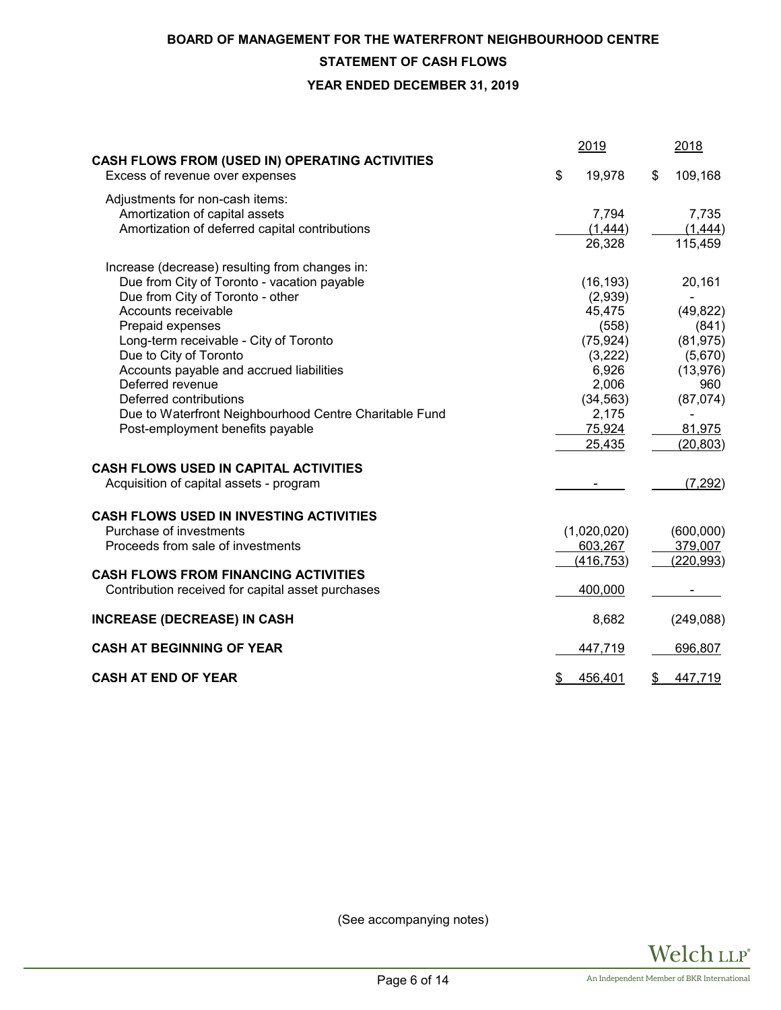### **BOARD OF MANAGEMENT FOR THE WATERFRONT NEIGHBOURHOOD CENTRE**

### **STATEMENT OF CASH FLOWS**

**YEAR ENDED DECEMBER 31, 2019**

|                                                                                   | 2019          | 2018          |
|-----------------------------------------------------------------------------------|---------------|---------------|
| CASH FLOWS FROM (USED IN) OPERATING ACTIVITIES<br>Excess of revenue over expenses | \$<br>19,978  | \$<br>109,168 |
| Adjustments for non-cash items:                                                   |               |               |
| Amortization of capital assets                                                    | 7,794         | 7,735         |
| Amortization of deferred capital contributions                                    | (1,444)       | (1,444)       |
|                                                                                   | 26,328        | 115,459       |
| Increase (decrease) resulting from changes in:                                    |               |               |
| Due from City of Toronto - vacation payable                                       | (16, 193)     | 20,161        |
| Due from City of Toronto - other                                                  | (2,939)       |               |
| Accounts receivable                                                               | 45,475        | (49, 822)     |
| Prepaid expenses                                                                  | (558)         | (841)         |
| Long-term receivable - City of Toronto                                            | (75, 924)     | (81, 975)     |
| Due to City of Toronto                                                            | (3,222)       | (5,670)       |
| Accounts payable and accrued liabilities                                          | 6,926         | (13, 976)     |
| Deferred revenue                                                                  | 2,006         | 960           |
| Deferred contributions                                                            | (34, 563)     | (87,074)      |
| Due to Waterfront Neighbourhood Centre Charitable Fund                            | 2,175         |               |
| Post-employment benefits payable                                                  | 75,924        | 81,975        |
|                                                                                   | 25,435        | (20, 803)     |
| <b>CASH FLOWS USED IN CAPITAL ACTIVITIES</b>                                      |               |               |
| Acquisition of capital assets - program                                           |               | (7, 292)      |
| <b>CASH FLOWS USED IN INVESTING ACTIVITIES</b>                                    |               |               |
| Purchase of investments                                                           | (1,020,020)   | (600,000)     |
| Proceeds from sale of investments                                                 | 603,267       | 379,007       |
|                                                                                   | (416, 753)    | (220, 993)    |
| <b>CASH FLOWS FROM FINANCING ACTIVITIES</b>                                       |               |               |
| Contribution received for capital asset purchases                                 | 400,000       |               |
| <b>INCREASE (DECREASE) IN CASH</b>                                                | 8,682         | (249, 088)    |
| <b>CASH AT BEGINNING OF YEAR</b>                                                  | 447,719       | 696,807       |
| <b>CASH AT END OF YEAR</b>                                                        | \$<br>456,401 | \$<br>447,719 |

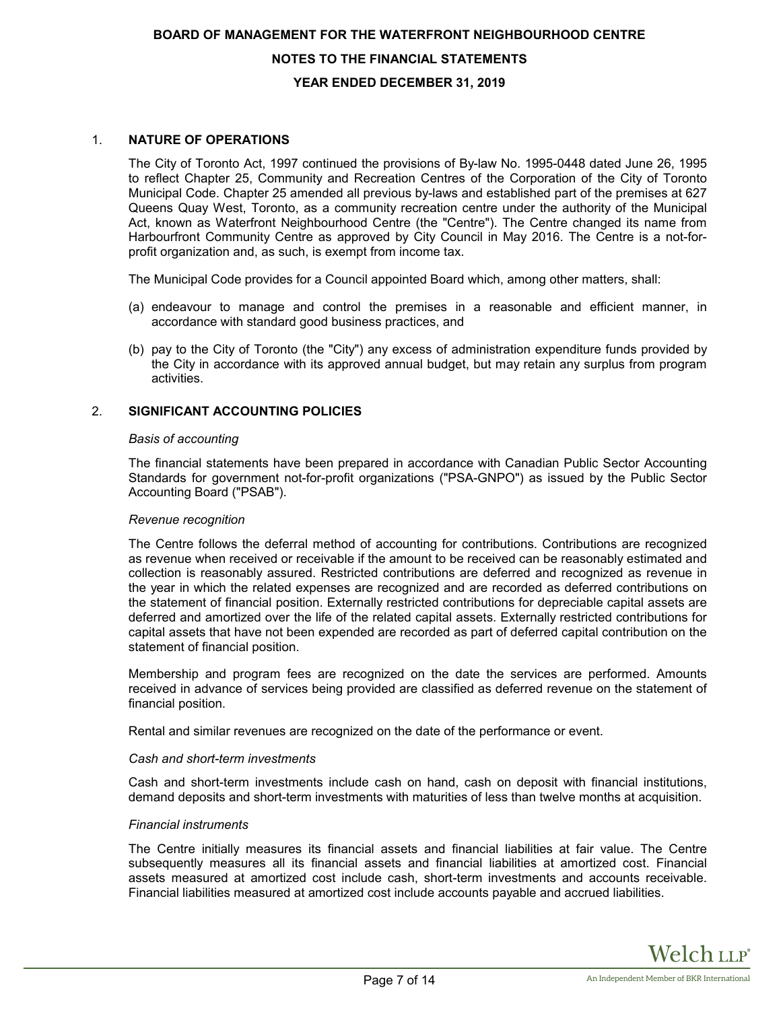# **BOARD OF MANAGEMENT FOR THE WATERFRONT NEIGHBOURHOOD CENTRE NOTES TO THE FINANCIAL STATEMENTS YEAR ENDED DECEMBER 31, 2019**

#### 1. **NATURE OF OPERATIONS**

The City of Toronto Act, 1997 continued the provisions of By-law No. 1995-0448 dated June 26, 1995 to reflect Chapter 25, Community and Recreation Centres of the Corporation of the City of Toronto Municipal Code. Chapter 25 amended all previous by-laws and established part of the premises at 627 Queens Quay West, Toronto, as a community recreation centre under the authority of the Municipal Act, known as Waterfront Neighbourhood Centre (the "Centre"). The Centre changed its name from Harbourfront Community Centre as approved by City Council in May 2016. The Centre is a not-forprofit organization and, as such, is exempt from income tax.

The Municipal Code provides for a Council appointed Board which, among other matters, shall:

- (a) endeavour to manage and control the premises in a reasonable and efficient manner, in accordance with standard good business practices, and
- (b) pay to the City of Toronto (the "City") any excess of administration expenditure funds provided by the City in accordance with its approved annual budget, but may retain any surplus from program activities.

#### 2. **SIGNIFICANT ACCOUNTING POLICIES**

#### *Basis of accounting*

The financial statements have been prepared in accordance with Canadian Public Sector Accounting Standards for government not-for-profit organizations ("PSA-GNPO") as issued by the Public Sector Accounting Board ("PSAB").

#### *Revenue recognition*

The Centre follows the deferral method of accounting for contributions. Contributions are recognized as revenue when received or receivable if the amount to be received can be reasonably estimated and collection is reasonably assured. Restricted contributions are deferred and recognized as revenue in the year in which the related expenses are recognized and are recorded as deferred contributions on the statement of financial position. Externally restricted contributions for depreciable capital assets are deferred and amortized over the life of the related capital assets. Externally restricted contributions for capital assets that have not been expended are recorded as part of deferred capital contribution on the statement of financial position.

Membership and program fees are recognized on the date the services are performed. Amounts received in advance of services being provided are classified as deferred revenue on the statement of financial position.

Rental and similar revenues are recognized on the date of the performance or event.

#### *Cash and short-term investments*

Cash and short-term investments include cash on hand, cash on deposit with financial institutions, demand deposits and short-term investments with maturities of less than twelve months at acquisition.

#### *Financial instruments*

The Centre initially measures its financial assets and financial liabilities at fair value. The Centre subsequently measures all its financial assets and financial liabilities at amortized cost. Financial assets measured at amortized cost include cash, short-term investments and accounts receivable. Financial liabilities measured at amortized cost include accounts payable and accrued liabilities.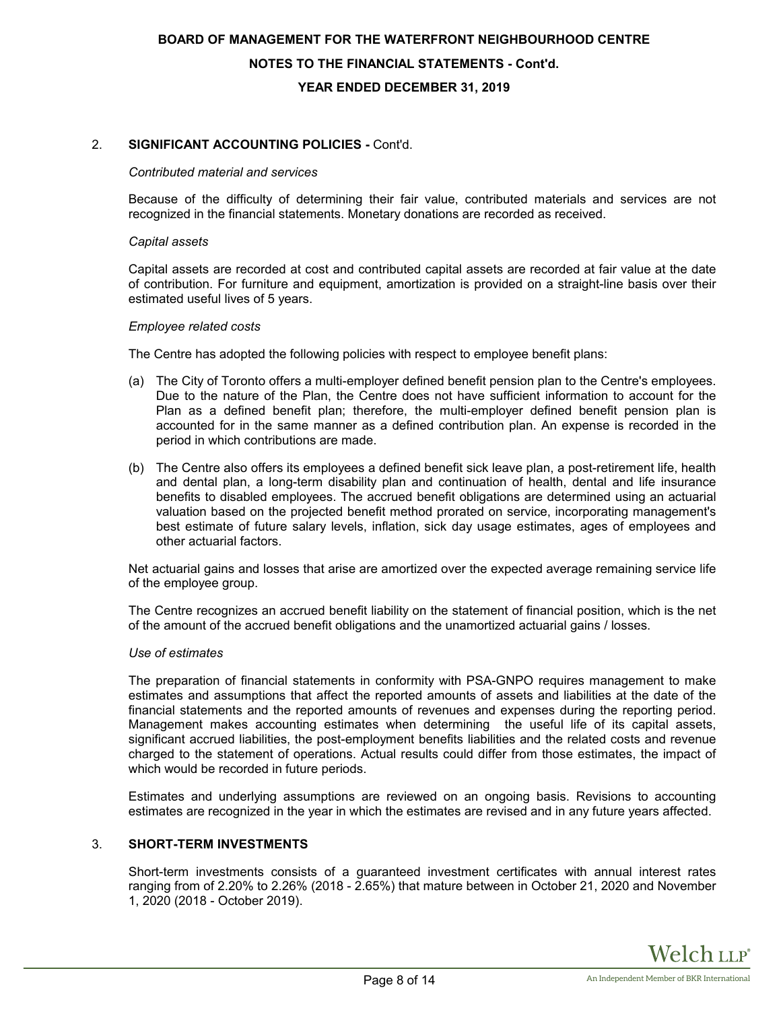# **BOARD OF MANAGEMENT FOR THE WATERFRONT NEIGHBOURHOOD CENTRE NOTES TO THE FINANCIAL STATEMENTS - Cont'd. YEAR ENDED DECEMBER 31, 2019**

#### 2. **SIGNIFICANT ACCOUNTING POLICIES -** Cont'd.

#### *Contributed material and services*

Because of the difficulty of determining their fair value, contributed materials and services are not recognized in the financial statements. Monetary donations are recorded as received.

#### *Capital assets*

Capital assets are recorded at cost and contributed capital assets are recorded at fair value at the date of contribution. For furniture and equipment, amortization is provided on a straight-line basis over their estimated useful lives of 5 years.

#### *Employee related costs*

The Centre has adopted the following policies with respect to employee benefit plans:

- (a) The City of Toronto offers a multi-employer defined benefit pension plan to the Centre's employees. Due to the nature of the Plan, the Centre does not have sufficient information to account for the Plan as a defined benefit plan; therefore, the multi-employer defined benefit pension plan is accounted for in the same manner as a defined contribution plan. An expense is recorded in the period in which contributions are made.
- (b) The Centre also offers its employees a defined benefit sick leave plan, a post-retirement life, health and dental plan, a long-term disability plan and continuation of health, dental and life insurance benefits to disabled employees. The accrued benefit obligations are determined using an actuarial valuation based on the projected benefit method prorated on service, incorporating management's best estimate of future salary levels, inflation, sick day usage estimates, ages of employees and other actuarial factors.

Net actuarial gains and losses that arise are amortized over the expected average remaining service life of the employee group.

The Centre recognizes an accrued benefit liability on the statement of financial position, which is the net of the amount of the accrued benefit obligations and the unamortized actuarial gains / losses.

#### *Use of estimates*

The preparation of financial statements in conformity with PSA-GNPO requires management to make estimates and assumptions that affect the reported amounts of assets and liabilities at the date of the financial statements and the reported amounts of revenues and expenses during the reporting period. Management makes accounting estimates when determining the useful life of its capital assets, significant accrued liabilities, the post-employment benefits liabilities and the related costs and revenue charged to the statement of operations. Actual results could differ from those estimates, the impact of which would be recorded in future periods.

Estimates and underlying assumptions are reviewed on an ongoing basis. Revisions to accounting estimates are recognized in the year in which the estimates are revised and in any future years affected.

#### 3. **SHORT-TERM INVESTMENTS**

Short-term investments consists of a guaranteed investment certificates with annual interest rates ranging from of 2.20% to 2.26% (2018 - 2.65%) that mature between in October 21, 2020 and November 1, 2020 (2018 - October 2019).

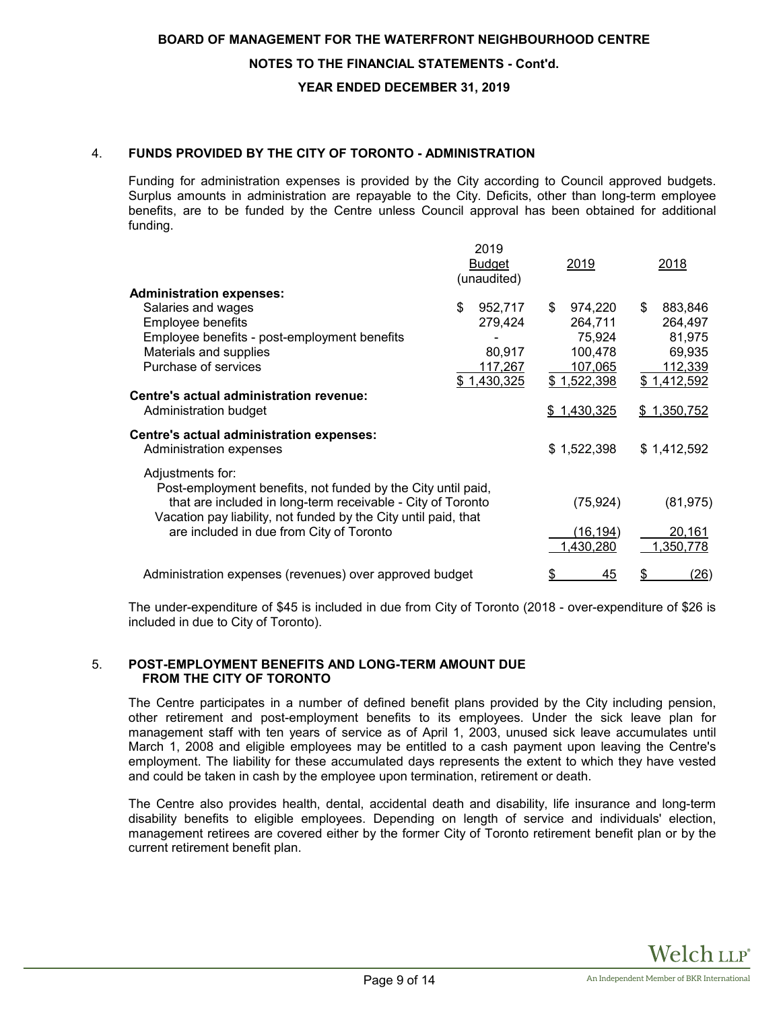#### **NOTES TO THE FINANCIAL STATEMENTS - Cont'd.**

#### **YEAR ENDED DECEMBER 31, 2019**

#### 4. **FUNDS PROVIDED BY THE CITY OF TORONTO - ADMINISTRATION**

Funding for administration expenses is provided by the City according to Council approved budgets. Surplus amounts in administration are repayable to the City. Deficits, other than long-term employee benefits, are to be funded by the Centre unless Council approval has been obtained for additional funding.

|                                                                                                                                | 2019<br><b>Budget</b><br>(unaudited) | 2019                   | 2018                |
|--------------------------------------------------------------------------------------------------------------------------------|--------------------------------------|------------------------|---------------------|
| <b>Administration expenses:</b>                                                                                                |                                      |                        |                     |
| Salaries and wages                                                                                                             | \$<br>952,717                        | \$<br>974,220          | \$<br>883,846       |
| Employee benefits                                                                                                              | 279,424                              | 264,711                | 264,497             |
| Employee benefits - post-employment benefits<br>Materials and supplies                                                         | 80,917                               | 75,924<br>100,478      | 81,975<br>69,935    |
| Purchase of services                                                                                                           | 117,267                              | 107,065                | <u>112,339</u>      |
|                                                                                                                                | \$1,430,325                          | \$1,522,398            | \$1,412,592         |
| Centre's actual administration revenue:                                                                                        |                                      |                        |                     |
| Administration budget                                                                                                          |                                      | \$1,430,325            | \$1,350,752         |
| Centre's actual administration expenses:<br>Administration expenses                                                            |                                      | \$1,522,398            | \$1,412,592         |
| Adjustments for:<br>Post-employment benefits, not funded by the City until paid,                                               |                                      |                        |                     |
| that are included in long-term receivable - City of Toronto<br>Vacation pay liability, not funded by the City until paid, that |                                      | (75, 924)              | (81, 975)           |
| are included in due from City of Toronto                                                                                       |                                      | (16, 194)<br>1,430,280 | 20,161<br>1,350,778 |
| Administration expenses (revenues) over approved budget                                                                        |                                      | \$<br>45               | \$<br>(26)          |
|                                                                                                                                |                                      |                        |                     |

The under-expenditure of \$45 is included in due from City of Toronto (2018 - over-expenditure of \$26 is included in due to City of Toronto).

#### 5. **POST-EMPLOYMENT BENEFITS AND LONG-TERM AMOUNT DUE FROM THE CITY OF TORONTO**

The Centre participates in a number of defined benefit plans provided by the City including pension, other retirement and post-employment benefits to its employees. Under the sick leave plan for management staff with ten years of service as of April 1, 2003, unused sick leave accumulates until March 1, 2008 and eligible employees may be entitled to a cash payment upon leaving the Centre's employment. The liability for these accumulated days represents the extent to which they have vested and could be taken in cash by the employee upon termination, retirement or death.

The Centre also provides health, dental, accidental death and disability, life insurance and long-term disability benefits to eligible employees. Depending on length of service and individuals' election, management retirees are covered either by the former City of Toronto retirement benefit plan or by the current retirement benefit plan.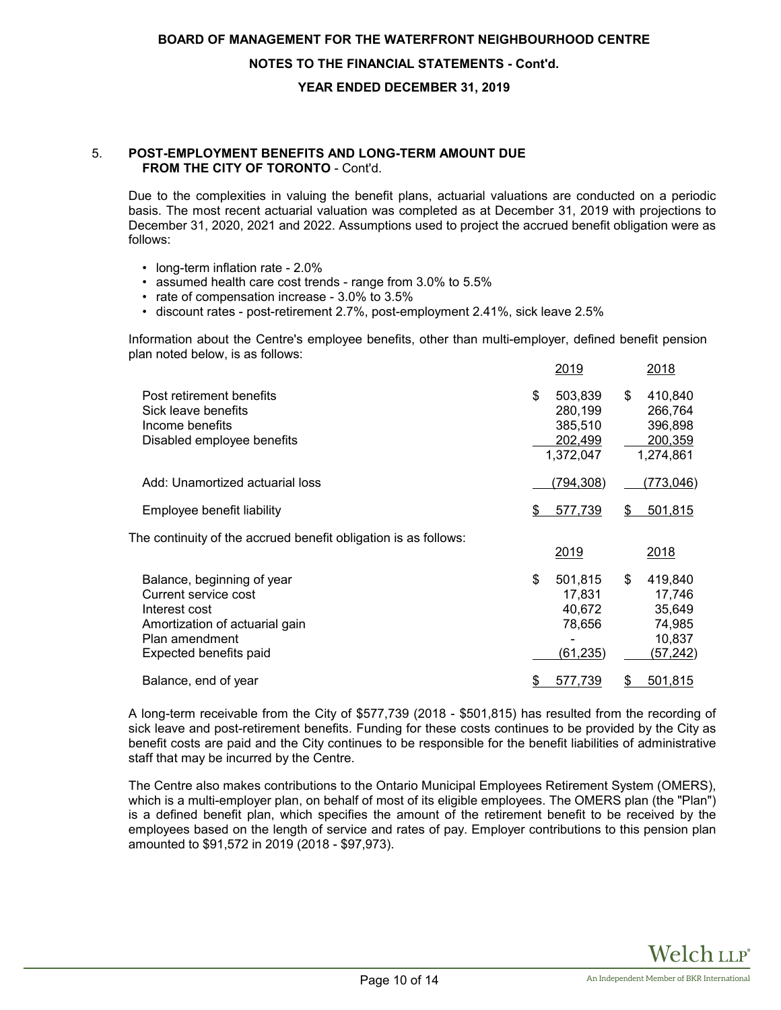#### **NOTES TO THE FINANCIAL STATEMENTS - Cont'd.**

#### **YEAR ENDED DECEMBER 31, 2019**

#### 5. **POST-EMPLOYMENT BENEFITS AND LONG-TERM AMOUNT DUE FROM THE CITY OF TORONTO** - Cont'd.

Due to the complexities in valuing the benefit plans, actuarial valuations are conducted on a periodic basis. The most recent actuarial valuation was completed as at December 31, 2019 with projections to December 31, 2020, 2021 and 2022. Assumptions used to project the accrued benefit obligation were as follows:

- long-term inflation rate 2.0%
- assumed health care cost trends range from 3.0% to 5.5%
- rate of compensation increase 3.0% to 3.5%
- discount rates post-retirement 2.7%, post-employment 2.41%, sick leave 2.5%

Information about the Centre's employee benefits, other than multi-employer, defined benefit pension plan noted below, is as follows:

|                                                                                                                                                   |    | 2019                                                  |    | 2018                                                         |
|---------------------------------------------------------------------------------------------------------------------------------------------------|----|-------------------------------------------------------|----|--------------------------------------------------------------|
| Post retirement benefits<br>Sick leave benefits<br>Income benefits<br>Disabled employee benefits                                                  | \$ | 503,839<br>280,199<br>385,510<br>202,499<br>1,372,047 | \$ | 410,840<br>266,764<br>396,898<br>200,359<br>1,274,861        |
| Add: Unamortized actuarial loss                                                                                                                   |    | (794, 308)                                            |    | (773,046)                                                    |
| Employee benefit liability                                                                                                                        | S  | 577,739                                               | S  | 501,815                                                      |
| The continuity of the accrued benefit obligation is as follows:                                                                                   |    | 2019                                                  |    | 2018                                                         |
| Balance, beginning of year<br>Current service cost<br>Interest cost<br>Amortization of actuarial gain<br>Plan amendment<br>Expected benefits paid | \$ | 501,815<br>17,831<br>40,672<br>78,656<br>(61,235)     | \$ | 419,840<br>17,746<br>35,649<br>74,985<br>10,837<br>(57, 242) |
| Balance, end of year                                                                                                                              | \$ | 577,739                                               | \$ | <u>501,815</u>                                               |

A long-term receivable from the City of \$577,739 (2018 - \$501,815) has resulted from the recording of sick leave and post-retirement benefits. Funding for these costs continues to be provided by the City as benefit costs are paid and the City continues to be responsible for the benefit liabilities of administrative staff that may be incurred by the Centre.

The Centre also makes contributions to the Ontario Municipal Employees Retirement System (OMERS), which is a multi-employer plan, on behalf of most of its eligible employees. The OMERS plan (the "Plan") is a defined benefit plan, which specifies the amount of the retirement benefit to be received by the employees based on the length of service and rates of pay. Employer contributions to this pension plan amounted to \$91,572 in 2019 (2018 - \$97,973).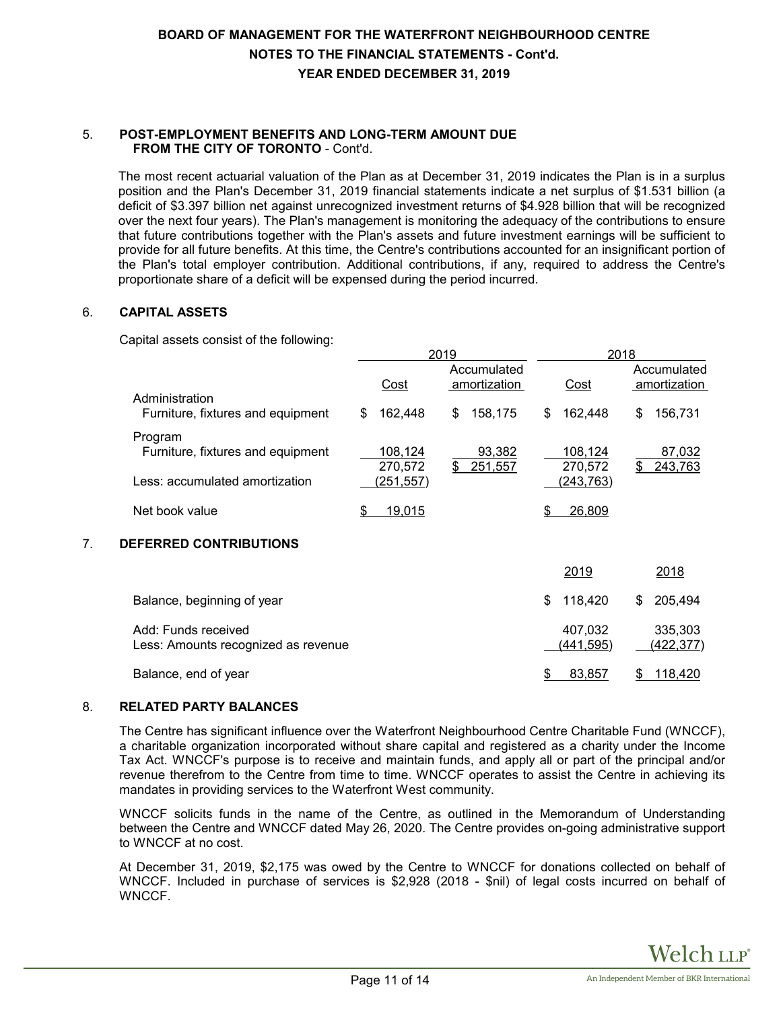# **BOARD OF MANAGEMENT FOR THE WATERFRONT NEIGHBOURHOOD CENTRE NOTES TO THE FINANCIAL STATEMENTS - Cont'd. YEAR ENDED DECEMBER 31, 2019**

#### 5. **POST-EMPLOYMENT BENEFITS AND LONG-TERM AMOUNT DUE FROM THE CITY OF TORONTO** - Cont'd.

The most recent actuarial valuation of the Plan as at December 31, 2019 indicates the Plan is in a surplus position and the Plan's December 31, 2019 financial statements indicate a net surplus of \$1.531 billion (a deficit of \$3.397 billion net against unrecognized investment returns of \$4.928 billion that will be recognized over the next four years). The Plan's management is monitoring the adequacy of the contributions to ensure that future contributions together with the Plan's assets and future investment earnings will be sufficient to provide for all future benefits. At this time, the Centre's contributions accounted for an insignificant portion of the Plan's total employer contribution. Additional contributions, if any, required to address the Centre's proportionate share of a deficit will be expensed during the period incurred.

### 6. **CAPITAL ASSETS**

Capital assets consist of the following:

|    |                                                                                |                                  | 2019                        | 2018                             |                             |  |  |  |
|----|--------------------------------------------------------------------------------|----------------------------------|-----------------------------|----------------------------------|-----------------------------|--|--|--|
|    | Administration                                                                 | Cost                             | Accumulated<br>amortization | Cost                             | Accumulated<br>amortization |  |  |  |
|    | Furniture, fixtures and equipment                                              | 162,448<br>\$                    | \$<br>158,175               | 162,448<br>\$                    | 156,731<br>\$               |  |  |  |
|    | Program<br>Furniture, fixtures and equipment<br>Less: accumulated amortization | 108,124<br>270,572<br>(251, 557) | 93,382<br>\$<br>251,557     | 108,124<br>270,572<br>(243, 763) | 87,032<br>243,763<br>S      |  |  |  |
|    | Net book value                                                                 | 19,015<br>\$                     |                             | 26,809<br>S                      |                             |  |  |  |
| 7. | <b>DEFERRED CONTRIBUTIONS</b>                                                  |                                  |                             |                                  |                             |  |  |  |
|    |                                                                                |                                  |                             | 2019                             | 2018                        |  |  |  |
|    | Balance, beginning of year                                                     |                                  |                             | \$<br>118,420                    | 205,494<br>\$               |  |  |  |
|    | Add: Funds received<br>Less: Amounts recognized as revenue                     |                                  |                             | 407,032<br>(441,595)             | 335,303<br>(422,377)        |  |  |  |
|    |                                                                                |                                  |                             |                                  |                             |  |  |  |

#### 8. **RELATED PARTY BALANCES**

The Centre has significant influence over the Waterfront Neighbourhood Centre Charitable Fund (WNCCF), a charitable organization incorporated without share capital and registered as a charity under the Income Tax Act. WNCCF's purpose is to receive and maintain funds, and apply all or part of the principal and/or revenue therefrom to the Centre from time to time. WNCCF operates to assist the Centre in achieving its mandates in providing services to the Waterfront West community.

Balance, end of year  $\overline{8}$  83,857  $\overline{8}$  118,420

WNCCF solicits funds in the name of the Centre, as outlined in the Memorandum of Understanding between the Centre and WNCCF dated May 26, 2020. The Centre provides on-going administrative support to WNCCF at no cost.

At December 31, 2019, \$2,175 was owed by the Centre to WNCCF for donations collected on behalf of WNCCF. Included in purchase of services is \$2,928 (2018 - \$nil) of legal costs incurred on behalf of WNCCF.

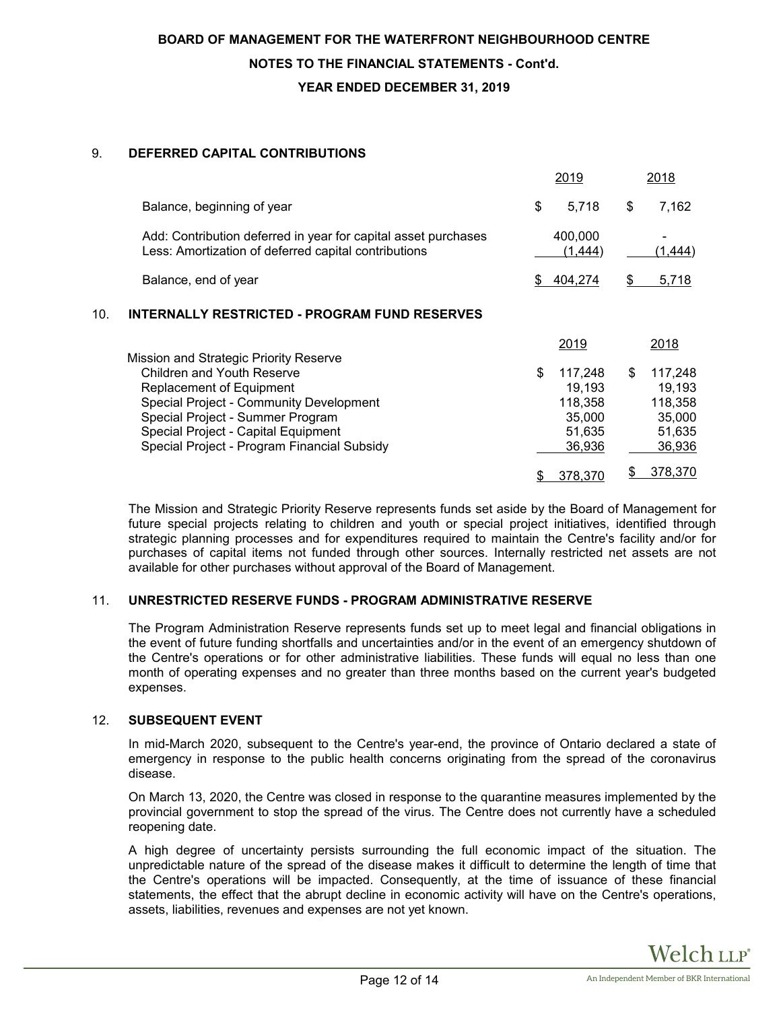### 9. **DEFERRED CAPITAL CONTRIBUTIONS**

|     |                                                                                                                                                                                                                                    | 2019                                                             |    | 2018                                                       |
|-----|------------------------------------------------------------------------------------------------------------------------------------------------------------------------------------------------------------------------------------|------------------------------------------------------------------|----|------------------------------------------------------------|
|     | Balance, beginning of year                                                                                                                                                                                                         | \$<br>5,718                                                      | \$ | 7,162                                                      |
|     | Add: Contribution deferred in year for capital asset purchases<br>Less: Amortization of deferred capital contributions                                                                                                             | 400,000<br>(1, 444)                                              |    | <u>(1,444)</u>                                             |
|     | Balance, end of year                                                                                                                                                                                                               | \$<br>404,274                                                    | \$ | 5,718                                                      |
| 10. | <b>INTERNALLY RESTRICTED - PROGRAM FUND RESERVES</b>                                                                                                                                                                               |                                                                  |    |                                                            |
|     | Mission and Strategic Priority Reserve                                                                                                                                                                                             | 2019                                                             |    | 2018                                                       |
|     | <b>Children and Youth Reserve</b><br>Replacement of Equipment<br>Special Project - Community Development<br>Special Project - Summer Program<br>Special Project - Capital Equipment<br>Special Project - Program Financial Subsidy | \$<br>117,248<br>19,193<br>118,358<br>35,000<br>51,635<br>36,936 | \$ | 117,248<br>19,193<br>118,358<br>35,000<br>51,635<br>36,936 |
|     |                                                                                                                                                                                                                                    | \$<br>378,370                                                    | S. | 378,370                                                    |

The Mission and Strategic Priority Reserve represents funds set aside by the Board of Management for future special projects relating to children and youth or special project initiatives, identified through strategic planning processes and for expenditures required to maintain the Centre's facility and/or for purchases of capital items not funded through other sources. Internally restricted net assets are not available for other purchases without approval of the Board of Management.

#### 11. **UNRESTRICTED RESERVE FUNDS - PROGRAM ADMINISTRATIVE RESERVE**

The Program Administration Reserve represents funds set up to meet legal and financial obligations in the event of future funding shortfalls and uncertainties and/or in the event of an emergency shutdown of the Centre's operations or for other administrative liabilities. These funds will equal no less than one month of operating expenses and no greater than three months based on the current year's budgeted expenses.

#### 12. **SUBSEQUENT EVENT**

In mid-March 2020, subsequent to the Centre's year-end, the province of Ontario declared a state of emergency in response to the public health concerns originating from the spread of the coronavirus disease.

On March 13, 2020, the Centre was closed in response to the quarantine measures implemented by the provincial government to stop the spread of the virus. The Centre does not currently have a scheduled reopening date.

A high degree of uncertainty persists surrounding the full economic impact of the situation. The unpredictable nature of the spread of the disease makes it difficult to determine the length of time that the Centre's operations will be impacted. Consequently, at the time of issuance of these financial statements, the effect that the abrupt decline in economic activity will have on the Centre's operations, assets, liabilities, revenues and expenses are not yet known.

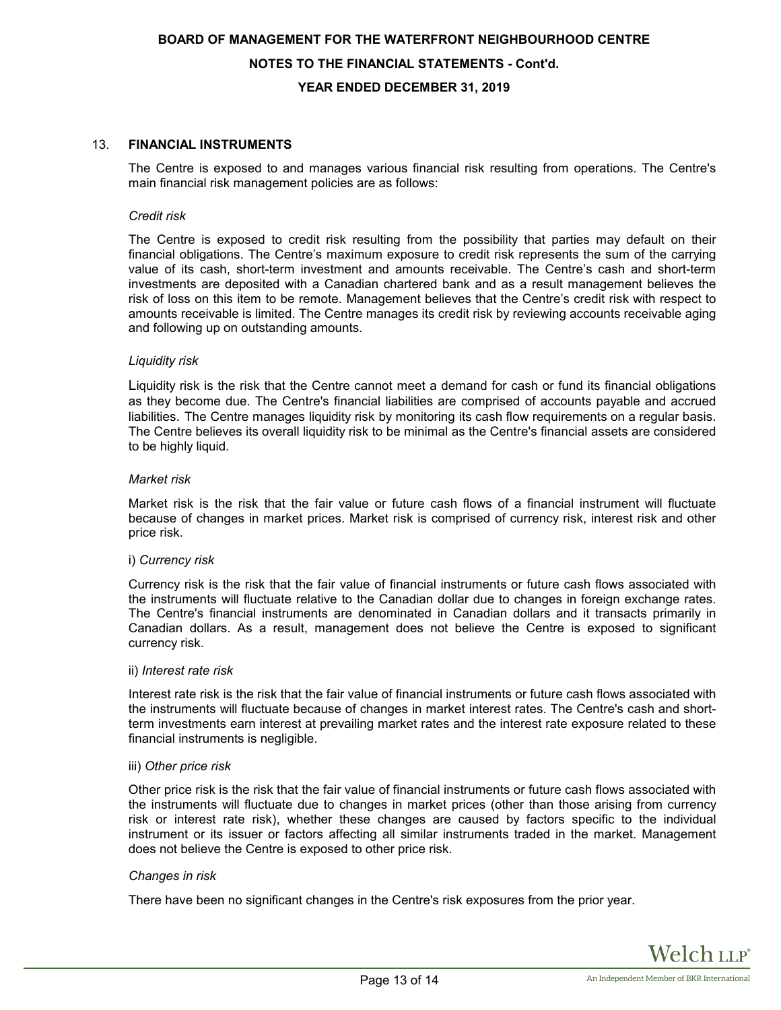# **BOARD OF MANAGEMENT FOR THE WATERFRONT NEIGHBOURHOOD CENTRE NOTES TO THE FINANCIAL STATEMENTS - Cont'd. YEAR ENDED DECEMBER 31, 2019**

#### 13. **FINANCIAL INSTRUMENTS**

The Centre is exposed to and manages various financial risk resulting from operations. The Centre's main financial risk management policies are as follows:

#### *Credit risk*

The Centre is exposed to credit risk resulting from the possibility that parties may default on their financial obligations. The Centre's maximum exposure to credit risk represents the sum of the carrying value of its cash, short-term investment and amounts receivable. The Centre's cash and short-term investments are deposited with a Canadian chartered bank and as a result management believes the risk of loss on this item to be remote. Management believes that the Centre's credit risk with respect to amounts receivable is limited. The Centre manages its credit risk by reviewing accounts receivable aging and following up on outstanding amounts.

#### *Liquidity risk*

Liquidity risk is the risk that the Centre cannot meet a demand for cash or fund its financial obligations as they become due. The Centre's financial liabilities are comprised of accounts payable and accrued liabilities. The Centre manages liquidity risk by monitoring its cash flow requirements on a regular basis. The Centre believes its overall liquidity risk to be minimal as the Centre's financial assets are considered to be highly liquid.

#### *Market risk*

Market risk is the risk that the fair value or future cash flows of a financial instrument will fluctuate because of changes in market prices. Market risk is comprised of currency risk, interest risk and other price risk.

#### i) *Currency risk*

Currency risk is the risk that the fair value of financial instruments or future cash flows associated with the instruments will fluctuate relative to the Canadian dollar due to changes in foreign exchange rates. The Centre's financial instruments are denominated in Canadian dollars and it transacts primarily in Canadian dollars. As a result, management does not believe the Centre is exposed to significant currency risk.

#### ii) *Interest rate risk*

Interest rate risk is the risk that the fair value of financial instruments or future cash flows associated with the instruments will fluctuate because of changes in market interest rates. The Centre's cash and shortterm investments earn interest at prevailing market rates and the interest rate exposure related to these financial instruments is negligible.

#### iii) *Other price risk*

Other price risk is the risk that the fair value of financial instruments or future cash flows associated with the instruments will fluctuate due to changes in market prices (other than those arising from currency risk or interest rate risk), whether these changes are caused by factors specific to the individual instrument or its issuer or factors affecting all similar instruments traded in the market. Management does not believe the Centre is exposed to other price risk.

#### *Changes in risk*

There have been no significant changes in the Centre's risk exposures from the prior year.